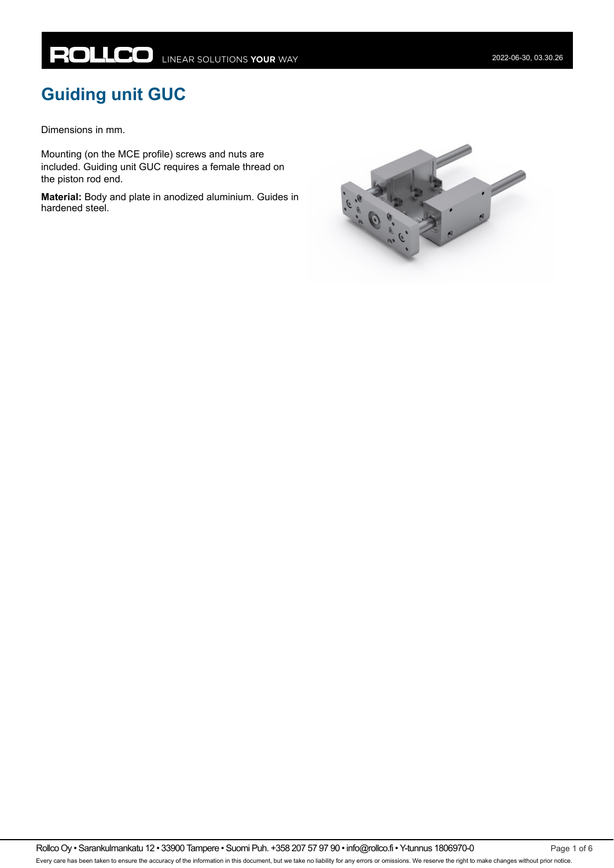# **Guiding unit GUC**

Dimensions in mm.

Mounting (on the MCE profile) screws and nuts are included. Guiding unit GUC requires a female thread on the piston rod end.

**Material:** Body and plate in anodized aluminium. Guides in hardened steel.

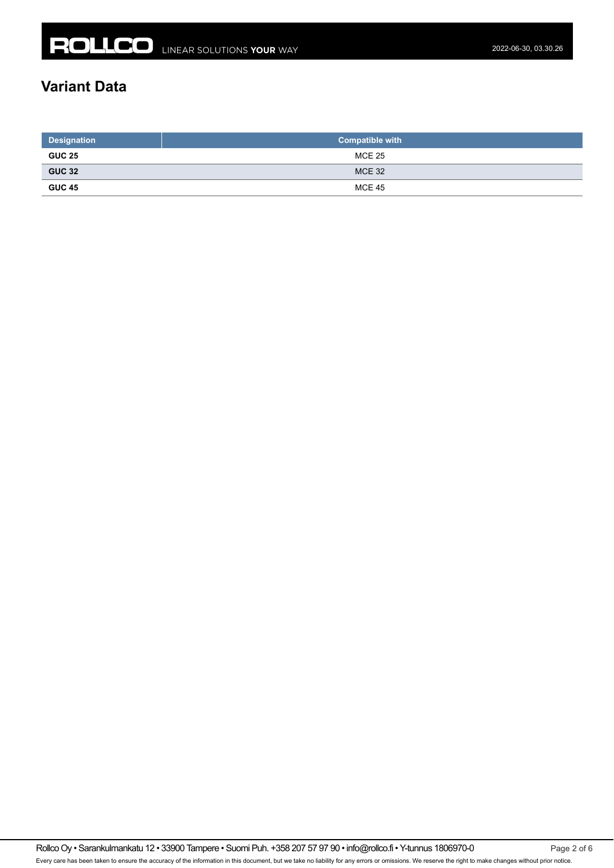## **Variant Data**

| <b>Designation</b> | <b>Compatible with</b> |  |  |  |
|--------------------|------------------------|--|--|--|
| <b>GUC 25</b>      | MCE 25                 |  |  |  |
| <b>GUC 32</b>      | <b>MCE 32</b>          |  |  |  |
| <b>GUC 45</b>      | <b>MCE 45</b>          |  |  |  |

Rollco Oy • Sarankulmankatu 12 • 33900 Tampere • Suomi Puh. +358 207 57 97 90 • info@rollco.fi • Y-tunnus 1806970-0 Page 2 of 6 Every care has been taken to ensure the accuracy of the information in this document, but we take no liability for any errors or omissions. We reserve the right to make changes without prior notice.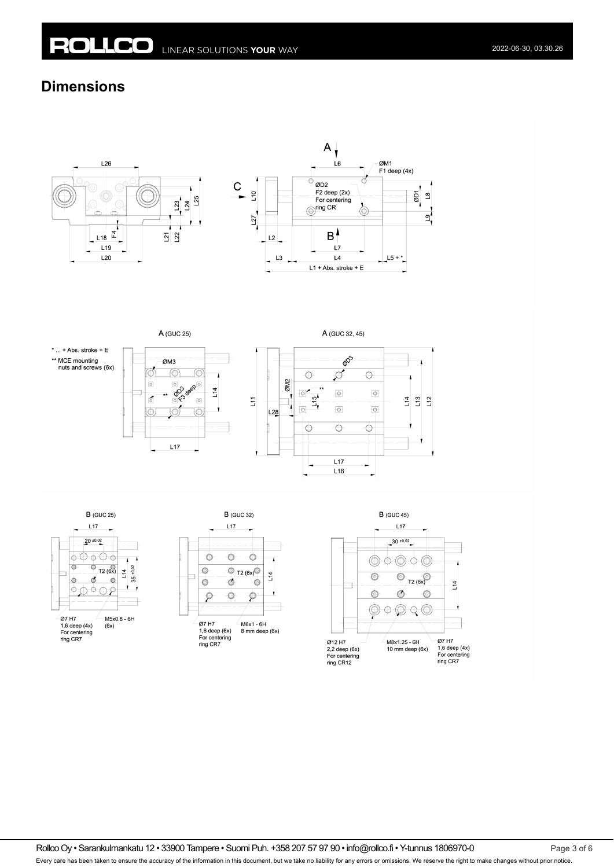## **Dimensions**





A (GUC 25)







A (GUC 32, 45)







Rollco Oy • Sarankulmankatu 12 • 33900 Tampere • Suomi Puh. +358 207 57 97 90 • info@rollco.fi • Y-tunnus 1806970-0 Page 3 of 6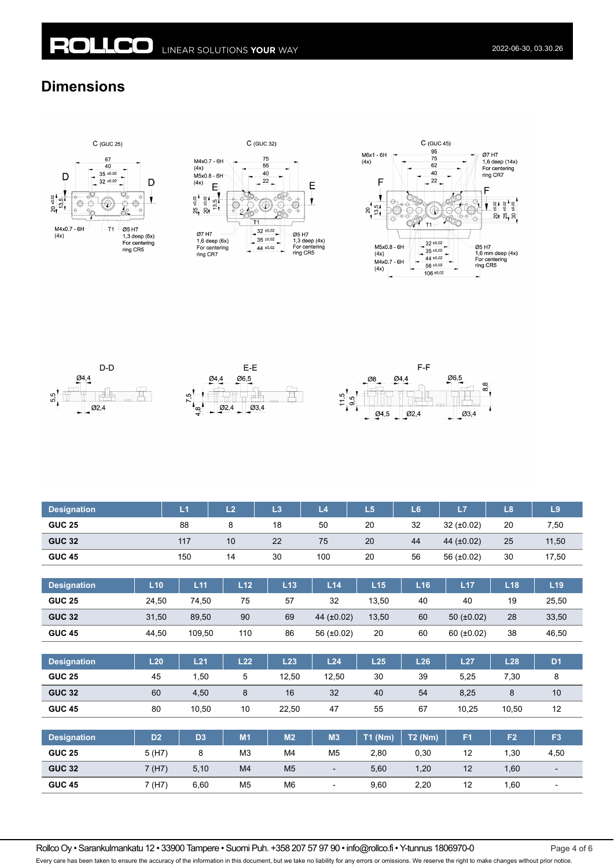## **Dimensions**













| <b>Designation</b> |                | L1             | L2             | L3             | L4                       | L5        | L <sub>6</sub> | L7              | L8             | L <sub>9</sub> |
|--------------------|----------------|----------------|----------------|----------------|--------------------------|-----------|----------------|-----------------|----------------|----------------|
| <b>GUC 25</b>      |                | 88             | 8              | 18             | 50                       | 20        | 32             | $32 (+0.02)$    | 20             | 7,50           |
| <b>GUC 32</b>      |                | 117            | 10             | 22             | 75                       | 20        | 44             | 44 $(±0.02)$    | 25             | 11,50          |
| <b>GUC 45</b>      |                | 150            | 14             | 30             | 100                      | 20        | 56             | 56 (±0.02)      | 30             | 17,50          |
|                    |                |                |                |                |                          |           |                |                 |                |                |
| <b>Designation</b> | L10            | L11            | L12            | L13            | L14                      | L15       | L16            | L17             | L18            | L19            |
| <b>GUC 25</b>      | 24,50          | 74,50          | 75             | 57             | 32                       | 13,50     | 40             | 40              | 19             | 25,50          |
| <b>GUC 32</b>      | 31,50          | 89,50          | 90             | 69             | 44 $(t0.02)$             | 13,50     | 60             | 50 $(\pm 0.02)$ | 28             | 33,50          |
| <b>GUC 45</b>      | 44,50          | 109,50         | 110            | 86             | 56 (±0.02)               | 20        | 60             | 60 $(\pm 0.02)$ | 38             | 46,50          |
|                    |                |                |                |                |                          |           |                |                 |                |                |
| <b>Designation</b> | L20            | L21            | L22            | L23            | L24                      | L25       | L26            | L27             | L28            | D <sub>1</sub> |
| <b>GUC 25</b>      | 45             | 1,50           | 5              | 12,50          | 12,50                    | 30        | 39             | 5,25            | 7,30           | 8              |
| <b>GUC 32</b>      | 60             | 4,50           | 8              | 16             | 32                       | 40        | 54             | 8,25            | 8              | 10             |
| <b>GUC 45</b>      | 80             | 10,50          | 10             | 22,50          | 47                       | 55        | 67             | 10,25           | 10,50          | 12             |
|                    |                |                |                |                |                          |           |                |                 |                |                |
| <b>Designation</b> | D <sub>2</sub> | D <sub>3</sub> | M1             | M <sub>2</sub> | M3                       | $T1$ (Nm) | <b>T2 (Nm)</b> | F <sub>1</sub>  | F <sub>2</sub> | F <sub>3</sub> |
| <b>GUC 25</b>      | 5 (H7)         | 8              | M <sub>3</sub> | M4             | M5                       | 2,80      | 0,30           | 12              | 1,30           | 4,50           |
| <b>GUC 32</b>      | 7(H7)          | 5,10           | M4             | M <sub>5</sub> | $\overline{\phantom{a}}$ | 5,60      | 1,20           | 12              | 1,60           |                |
| <b>GUC 45</b>      | 7 (H7)         | 6,60           | M <sub>5</sub> | M <sub>6</sub> | $\overline{\phantom{a}}$ | 9,60      | 2,20           | 12              | 1,60           |                |

Rollco Oy • Sarankulmankatu 12 • 33900 Tampere • Suomi Puh. +358 207 57 97 90 • info@rollco.fi • Y-tunnus 1806970-0 Page 4 of 6 Every care has been taken to ensure the accuracy of the information in this document, but we take no liability for any errors or omissions. We reserve the right to make changes without prior notice.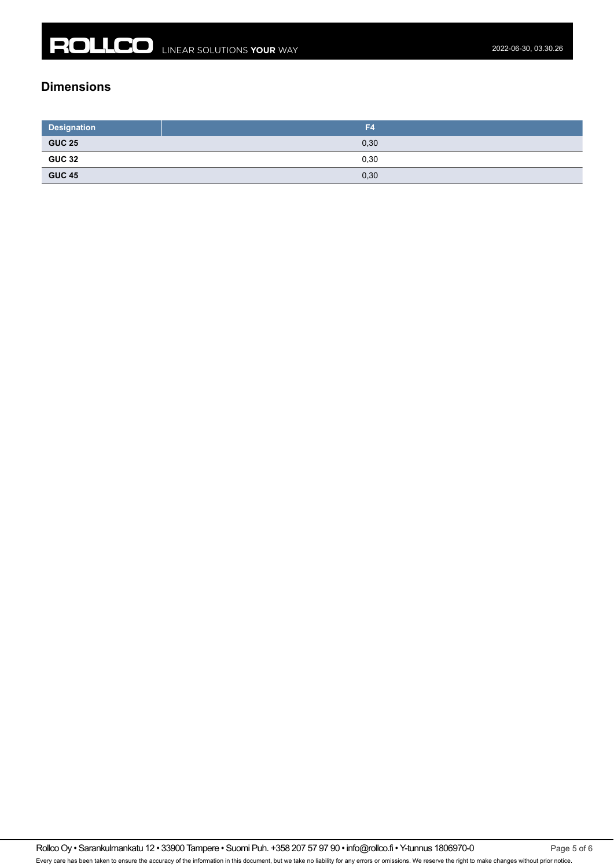#### **Dimensions**

| <b>Designation</b>                                                                                                                     | F4   |
|----------------------------------------------------------------------------------------------------------------------------------------|------|
| <b>GUC 25</b><br><u> Listen de la construcción de la construcción de la construcción de la construcción de la construcción de la c</u> | 0,30 |
| <b>GUC 32</b>                                                                                                                          | 0,30 |
| <b>GUC 45</b><br>the control of the control of                                                                                         | 0,30 |

Rollco Oy • Sarankulmankatu 12 • 33900 Tampere • Suomi Puh. +358 207 57 97 90 • info@rollco.fi • Y-tunnus 1806970-0 Page 5 of 6 Every care has been taken to ensure the accuracy of the information in this document, but we take no liability for any errors or omissions. We reserve the right to make changes without prior notice.